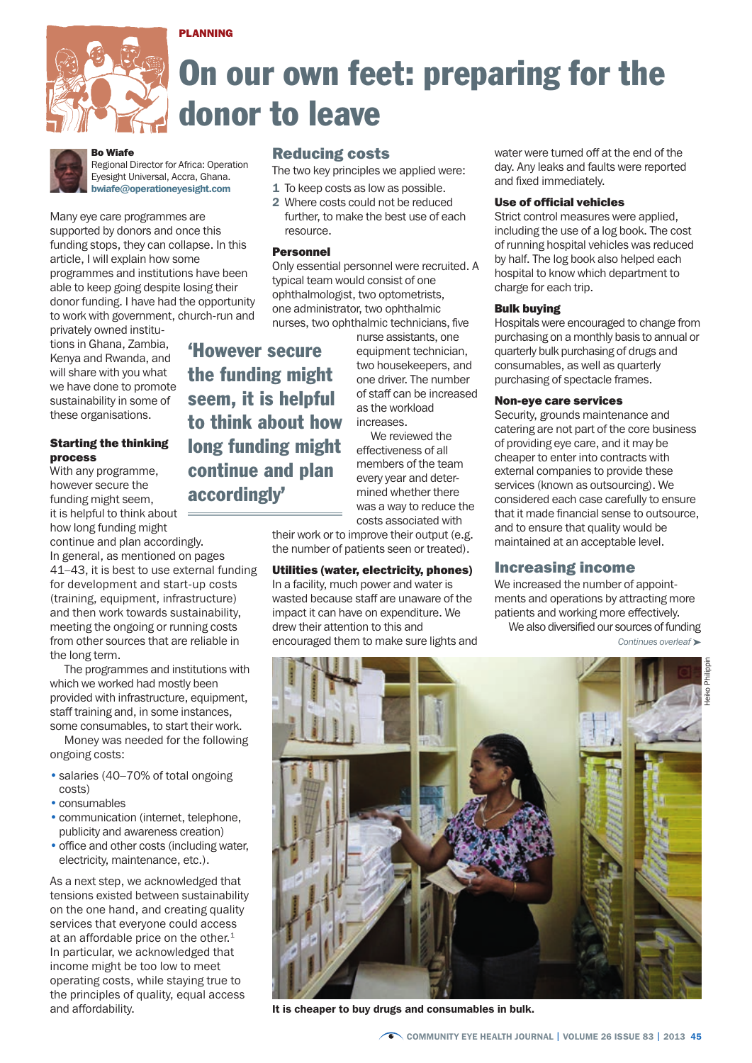



# On our own feet: preparing for the donor to leave



### Bo Wiafe

Regional Director for Africa: Operation Eyesight Universal, Accra, Ghana. bwiafe@operationeyesight.com

Many eye care programmes are supported by donors and once this funding stops, they can collapse. In this article, I will explain how some programmes and institutions have been able to keep going despite losing their donor funding. I have had the opportunity to work with government, church-run and

privately owned institutions in Ghana, Zambia, Kenya and Rwanda, and will share with you what we have done to promote sustainability in some of these organisations.

# Starting the thinking process

With any programme, however secure the funding might seem, it is helpful to think about how long funding might

continue and plan accordingly. In general, as mentioned on pages 41–43, it is best to use external funding for development and start-up costs (training, equipment, infrastructure) and then work towards sustainability, meeting the ongoing or running costs from other sources that are reliable in the long term.

The programmes and institutions with which we worked had mostly been provided with infrastructure, equipment, staff training and, in some instances, some consumables, to start their work.

Money was needed for the following ongoing costs:

- salaries (40–70% of total ongoing costs)
- consumables
- communication (internet, telephone, publicity and awareness creation)
- office and other costs (including water, electricity, maintenance, etc.).

As a next step, we acknowledged that tensions existed between sustainability on the one hand, and creating quality services that everyone could access at an affordable price on the other. $1$ In particular, we acknowledged that income might be too low to meet operating costs, while staying true to the principles of quality, equal access and affordability.

# Reducing costs

- The two key principles we applied were:
- **1** To keep costs as low as possible.
- 2 Where costs could not be reduced further, to make the best use of each resource.

## Personnel

Only essential personnel were recruited. A typical team would consist of one ophthalmologist, two optometrists, one administrator, two ophthalmic nurses, two ophthalmic technicians, five

'However secure the funding might seem, it is helpful to think about how long funding might continue and plan accordingly'

nurse assistants, one equipment technician, two housekeepers, and one driver. The number of staff can be increased as the workload increases.

We reviewed the effectiveness of all members of the team every year and determined whether there was a way to reduce the costs associated with

their work or to improve their output (e.g. the number of patients seen or treated).

# Utilities (water, electricity, phones)

In a facility, much power and water is wasted because staff are unaware of the impact it can have on expenditure. We drew their attention to this and encouraged them to make sure lights and water were turned off at the end of the day. Any leaks and faults were reported and fixed immediately.

## Use of official vehicles

Strict control measures were applied. including the use of a log book. The cost of running hospital vehicles was reduced by half. The log book also helped each hospital to know which department to charge for each trip.

## Bulk buying

Hospitals were encouraged to change from purchasing on a monthly basis to annual or quarterly bulk purchasing of drugs and consumables, as well as quarterly purchasing of spectacle frames.

## Non-eye care services

Security, grounds maintenance and catering are not part of the core business of providing eye care, and it may be cheaper to enter into contracts with external companies to provide these services (known as outsourcing). We considered each case carefully to ensure that it made financial sense to outsource, and to ensure that quality would be maintained at an acceptable level.

# Increasing income

We increased the number of appointments and operations by attracting more patients and working more effectively. We also diversified our sources of funding

*Continues overleaf* ➤



It is cheaper to buy drugs and consumables in bulk.